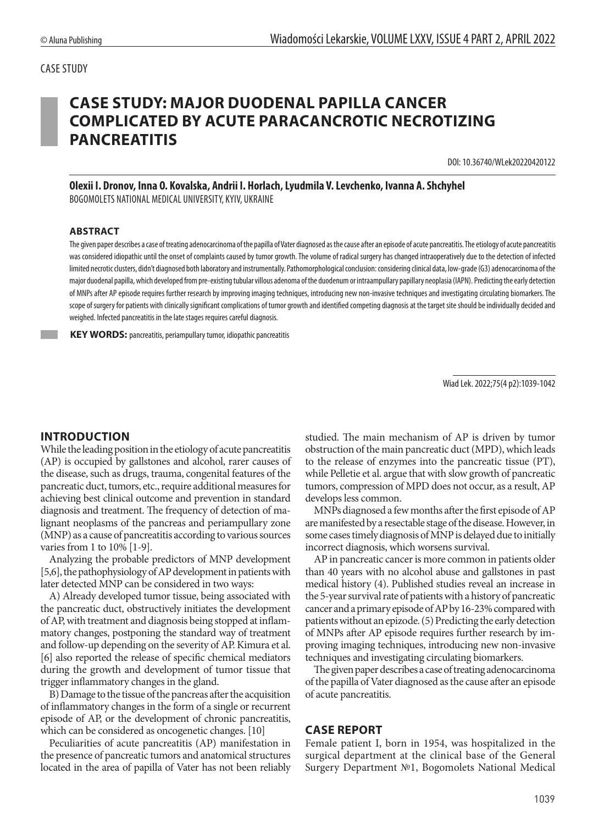# **CASE STUDY: MAJOR DUODENAL PAPILLA CANCER COMPLICATED BY ACUTE PARACANCROTIC NECROTIZING PANCREATITIS**

DOI: 10.36740/WLek20220420122

**Olexii I. Dronov, Inna O. Kovalska, Andrii I. Horlach, Lyudmila V. Levchenko, Ivanna A. Shchyhel**  BOGOMOLETS NATIONAL MEDICAL UNIVERSITY, KYIV, UKRAINE

#### **ABSTRACT**

The given paper describes a case of treating adenocarcinoma of the papilla of Vater diagnosed as the cause after an episode of acute pancreatitis. The etiology of acute pancreatitis was considered idiopathic until the onset of complaints caused by tumor growth. The volume of radical surgery has changed intraoperatively due to the detection of infected limited necrotic clusters, didn't diagnosed both laboratory and instrumentally. Pathomorphological conclusion: considering clinical data, low-grade (G3) adenocarcinoma of the major duodenal papilla, which developed from pre-existing tubular villous adenoma of the duodenum or intraampullary papillary neoplasia (IAPN). Predicting the early detection of MNPs after AP episode requires further research by improving imaging techniques, introducing new non-invasive techniques and investigating circulating biomarkers. The scope of surgery for patients with clinically significant complications of tumor growth and identified competing diagnosis at the target site should be individually decided and weighed. Infected pancreatitis in the late stages requires careful diagnosis.

**KEY WORDS:** pancreatitis, periampullary tumor, idiopathic pancreatitis

Wiad Lek. 2022;75(4 p2):1039-1042

### **INTRODUCTION**

While the leading position in the etiology of acute pancreatitis (AP) is occupied by gallstones and alcohol, rarer causes of the disease, such as drugs, trauma, congenital features of the pancreatic duct, tumors, etc., require additional measures for achieving best clinical outcome and prevention in standard diagnosis and treatment. The frequency of detection of malignant neoplasms of the pancreas and periampullary zone (MNP) as a cause of pancreatitis according to various sources varies from 1 to 10% [1-9].

Analyzing the probable predictors of MNP development [5,6], the pathophysiology of AP development in patients with later detected MNP can be considered in two ways:

A) Already developed tumor tissue, being associated with the pancreatic duct, obstructively initiates the development of AP, with treatment and diagnosis being stopped at inflammatory changes, postponing the standard way of treatment and follow-up depending on the severity of AP. Kimura et al. [6] also reported the release of specific chemical mediators during the growth and development of tumor tissue that trigger inflammatory changes in the gland.

B) Damage to the tissue of the pancreas after the acquisition of inflammatory changes in the form of a single or recurrent episode of AP, or the development of chronic pancreatitis, which can be considered as oncogenetic changes. [10]

Peculiarities of acute pancreatitis (AP) manifestation in the presence of pancreatic tumors and anatomical structures located in the area of papilla of Vater has not been reliably studied. The main mechanism of AP is driven by tumor obstruction of the main pancreatic duct (MPD), which leads to the release of enzymes into the pancreatic tissue (PT), while Pelletie et al. argue that with slow growth of pancreatic tumors, compression of MPD does not occur, as a result, AP develops less common.

MNPs diagnosed a few months after the first episode of AP are manifested by a resectable stage of the disease. However, in some cases timely diagnosis of MNP is delayed due to initially incorrect diagnosis, which worsens survival.

AP in pancreatic cancer is more common in patients older than 40 years with no alcohol abuse and gallstones in past medical history (4). Published studies reveal an increase in the 5-year survival rate of patients with a history of pancreatic cancer and a primary episode of AP by 16-23% compared with patients without an epizode. (5) Predicting the early detection of MNPs after AP episode requires further research by improving imaging techniques, introducing new non-invasive techniques and investigating circulating biomarkers.

The given paper describes a case of treating adenocarcinoma of the papilla of Vater diagnosed as the cause after an episode of acute pancreatitis.

### **CASE REPORT**

Female patient I, born in 1954, was hospitalized in the surgical department at the clinical base of the General Surgery Department №1, Bogomolets National Medical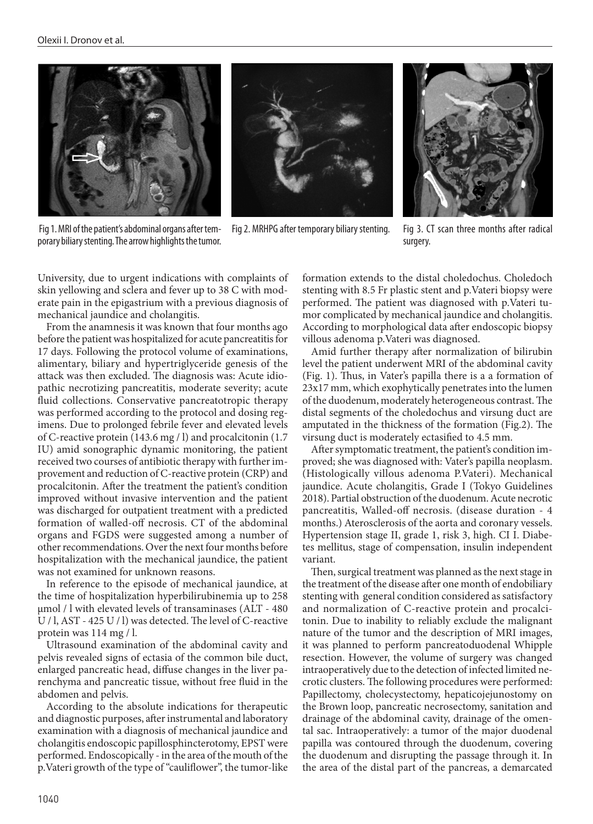





Fig 2. MRHPG after temporary biliary stenting. Fig 3. CT scan three months after radical



surgery.

University, due to urgent indications with complaints of skin yellowing and sclera and fever up to 38 C with moderate pain in the epigastrium with a previous diagnosis of mechanical jaundice and cholangitis.

From the anamnesis it was known that four months ago before the patient was hospitalized for acute pancreatitis for 17 days. Following the protocol volume of examinations, alimentary, biliary and hypertriglyceride genesis of the attack was then excluded. The diagnosis was: Acute idiopathic necrotizing pancreatitis, moderate severity; acute fluid collections. Conservative pancreatotropic therapy was performed according to the protocol and dosing regimens. Due to prolonged febrile fever and elevated levels of C-reactive protein (143.6 mg / l) and procalcitonin (1.7 IU) amid sonographic dynamic monitoring, the patient received two courses of antibiotic therapy with further improvement and reduction of C-reactive protein (CRP) and procalcitonin. After the treatment the patient's condition improved without invasive intervention and the patient was discharged for outpatient treatment with a predicted formation of walled-off necrosis. CT of the abdominal organs and FGDS were suggested among a number of other recommendations. Over the next four months before hospitalization with the mechanical jaundice, the patient was not examined for unknown reasons.

In reference to the episode of mechanical jaundice, at the time of hospitalization hyperbilirubinemia up to 258 μmol / l with elevated levels of transaminases (ALT - 480 U / l, AST - 425 U / l) was detected. The level of C-reactive protein was 114 mg / l.

Ultrasound examination of the abdominal cavity and pelvis revealed signs of ectasia of the common bile duct, enlarged pancreatic head, diffuse changes in the liver parenchyma and pancreatic tissue, without free fluid in the abdomen and pelvis.

According to the absolute indications for therapeutic and diagnostic purposes, after instrumental and laboratory examination with a diagnosis of mechanical jaundice and cholangitis endoscopic papillosphincterotomy, EPST were performed. Endoscopically - in the area of the mouth of the p.Vateri growth of the type of "cauliflower", the tumor-like formation extends to the distal choledochus. Choledoch stenting with 8.5 Fr plastic stent and p.Vateri biopsy were performed. The patient was diagnosed with p.Vateri tumor complicated by mechanical jaundice and cholangitis. According to morphological data after endoscopic biopsy villous adenoma p.Vateri was diagnosed.

Amid further therapy after normalization of bilirubin level the patient underwent MRI of the abdominal cavity (Fig. 1). Thus, in Vater's papilla there is a а formation of 23x17 mm, which exophytically penetrates into the lumen of the duodenum, moderately heterogeneous contrast. The distal segments of the choledochus and virsung duct are amputated in the thickness of the formation (Fig.2). The virsung duct is moderately ectasified to 4.5 mm.

After symptomatic treatment, the patient's condition improved; she was diagnosed with: Vater's papilla neoplasm. (Histologically villous adenoma P.Vateri). Mechanical jaundice. Acute cholangitis, Grade I (Tokyo Guidelines 2018). Partial obstruction of the duodenum. Acute necrotic pancreatitis, Walled-off necrosis. (disease duration - 4 months.) Aterosclerosis of the aorta and coronary vessels. Hypertension stage II, grade 1, risk 3, high. CI I. Diabetes mellitus, stage of compensation, insulin independent variant.

Then, surgical treatment was planned as the next stage in the treatment of the disease after one month of endobiliary stenting with general condition considered as satisfactory and normalization of C-reactive protein and procalcitonin. Due to inability to reliably exclude the malignant nature of the tumor and the description of MRI images, it was planned to perform pancreatoduodenal Whipple resection. However, the volume of surgery was changed intraoperatively due to the detection of infected limited necrotic clusters. The following procedures were performed: Papillectomy, cholecystectomy, hepaticojejunostomy on the Brown loop, pancreatic necrosectomy, sanitation and drainage of the abdominal cavity, drainage of the omental sac. Intraoperatively: a tumor of the major duodenal papilla was contoured through the duodenum, covering the duodenum and disrupting the passage through it. In the area of the distal part of the pancreas, a demarcated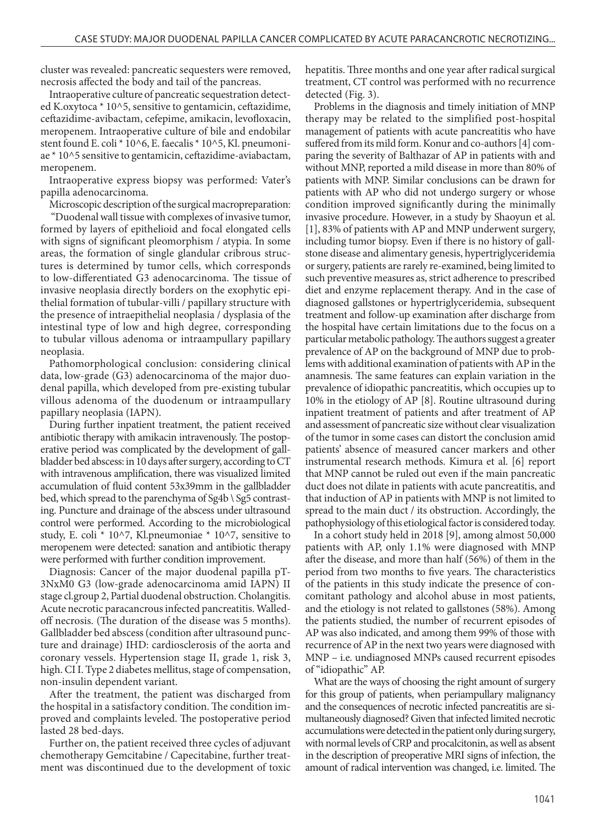cluster was revealed: pancreatic sequesters were removed, necrosis affected the body and tail of the pancreas.

Intraoperative culture of pancreatic sequestration detected K.oxytoca \* 10^5, sensitive to gentamicin, ceftazidime, ceftazidime-avibactam, cefepime, amikacin, levofloxacin, meropenem. Intraoperative culture of bile and endobilar stent found E. coli \* 10^6, E. faecalis \* 10^5, Kl. pneumoniae \* 10^5 sensitive to gentamicin, ceftazidime-aviabactam, meropenem.

Intraoperative express biopsy was performed: Vater's papilla adenocarcinoma.

Microscopic description of the surgical macropreparation:

 "Duodenal wall tissue with complexes of invasive tumor, formed by layers of epithelioid and focal elongated cells with signs of significant pleomorphism / atypia. In some areas, the formation of single glandular cribrous structures is determined by tumor cells, which corresponds to low-differentiated G3 adenocarcinoma. The tissue of invasive neoplasia directly borders on the exophytic epithelial formation of tubular-villi / papillary structure with the presence of intraepithelial neoplasia / dysplasia of the intestinal type of low and high degree, corresponding to tubular villous adenoma or intraampullary papillary neoplasia.

Pathomorphological conclusion: considering clinical data, low-grade (G3) adenocarcinoma of the major duodenal papilla, which developed from pre-existing tubular villous adenoma of the duodenum or intraampullary papillary neoplasia (IAPN).

During further inpatient treatment, the patient received antibiotic therapy with amikacin intravenously. The postoperative period was complicated by the development of gallbladder bed abscess: in 10 days after surgery, according to CT with intravenous amplification, there was visualized limited accumulation of fluid content 53x39mm in the gallbladder bed, which spread to the parenchyma of Sg4b \ Sg5 contrasting. Puncture and drainage of the abscess under ultrasound control were performed. According to the microbiological study, E. coli \* 10^7, Kl.pneumoniae \* 10^7, sensitive to meropenem were detected: sanation and antibiotic therapy were performed with further condition improvement.

Diagnosis: Cancer of the major duodenal papilla pT-3NxM0 G3 (low-grade adenocarcinoma amid IAPN) II stage cl.group 2, Partial duodenal obstruction. Cholangitis. Acute necrotic paracancrous infected pancreatitis. Walledoff necrosis. (The duration of the disease was 5 months). Gallbladder bed abscess (condition after ultrasound puncture and drainage) IHD: cardiosclerosis of the aorta and coronary vessels. Hypertension stage II, grade 1, risk 3, high. CI I. Type 2 diabetes mellitus, stage of compensation, non-insulin dependent variant.

After the treatment, the patient was discharged from the hospital in a satisfactory condition. The condition improved and complaints leveled. The postoperative period lasted 28 bed-days.

Further on, the patient received three cycles of adjuvant chemotherapy Gemcitabine / Capecitabine, further treatment was discontinued due to the development of toxic hepatitis. Three months and one year after radical surgical treatment, CT control was performed with no recurrence detected (Fig. 3).

Problems in the diagnosis and timely initiation of MNP therapy may be related to the simplified post-hospital management of patients with acute pancreatitis who have suffered from its mild form. Konur and co-authors [4] comparing the severity of Balthazar of AP in patients with and without MNP, reported a mild disease in more than 80% of patients with MNP. Similar conclusions can be drawn for patients with AP who did not undergo surgery or whose condition improved significantly during the minimally invasive procedure. However, in a study by Shaoyun et al. [1], 83% of patients with AP and MNP underwent surgery, including tumor biopsy. Even if there is no history of gallstone disease and alimentary genesis, hypertriglyceridemia or surgery, patients are rarely re-examined, being limited to such preventive measures as, strict adherence to prescribed diet and enzyme replacement therapy. And in the case of diagnosed gallstones or hypertriglyceridemia, subsequent treatment and follow-up examination after discharge from the hospital have certain limitations due to the focus on a particular metabolic pathology. The authors suggest a greater prevalence of AP on the background of MNP due to problems with additional examination of patients with AP in the anamnesis. The same features can explain variation in the prevalence of idiopathic pancreatitis, which occupies up to 10% in the etiology of AP [8]. Routine ultrasound during inpatient treatment of patients and after treatment of AP and assessment of pancreatic size without clear visualization of the tumor in some cases can distort the conclusion amid patients' absence of measured cancer markers and other instrumental research methods. Kimura et al. [6] report that MNP cannot be ruled out even if the main pancreatic duct does not dilate in patients with acute pancreatitis, and that induction of AP in patients with MNP is not limited to spread to the main duct / its obstruction. Accordingly, the pathophysiology of this etiological factor is considered today.

In a cohort study held in 2018 [9], among almost 50,000 patients with AP, only 1.1% were diagnosed with MNP after the disease, and more than half (56%) of them in the period from two months to five years. The characteristics of the patients in this study indicate the presence of concomitant pathology and alcohol abuse in most patients, and the etiology is not related to gallstones (58%). Among the patients studied, the number of recurrent episodes of AP was also indicated, and among them 99% of those with recurrence of AP in the next two years were diagnosed with MNP – i.e. undiagnosed MNPs caused recurrent episodes of "idiopathic" AP.

What are the ways of choosing the right amount of surgery for this group of patients, when periampullary malignancy and the consequences of necrotic infected pancreatitis are simultaneously diagnosed? Given that infected limited necrotic accumulations were detected in the patient only during surgery, with normal levels of CRP and procalcitonin, as well as absent in the description of preoperative MRI signs of infection, the amount of radical intervention was changed, i.e. limited. The